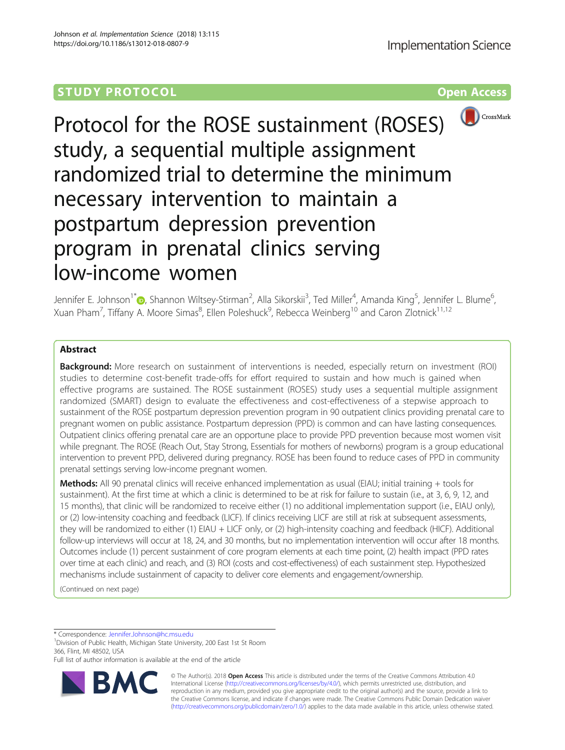# **STUDY PROTOCOL CONSUMING THE CONSUMING OPEN ACCESS**



Protocol for the ROSE sustainment (ROSES) study, a sequential multiple assignment randomized trial to determine the minimum necessary intervention to maintain a postpartum depression prevention program in prenatal clinics serving low-income women

Jennifer E. Johnson<sup>1\*</sup>@[,](http://orcid.org/0000-0003-2540-7213) Shannon Wiltsey-Stirman<sup>2</sup>, Alla Sikorskii<sup>3</sup>, Ted Miller<sup>4</sup>, Amanda King<sup>5</sup>, Jennifer L. Blume<sup>6</sup> י<br>, Xuan Pham<sup>7</sup>, Tiffany A. Moore Simas<sup>8</sup>, Ellen Poleshuck<sup>9</sup>, Rebecca Weinberg<sup>10</sup> and Caron Zlotnick<sup>11,12</sup>

# Abstract

Background: More research on sustainment of interventions is needed, especially return on investment (ROI) studies to determine cost-benefit trade-offs for effort required to sustain and how much is gained when effective programs are sustained. The ROSE sustainment (ROSES) study uses a sequential multiple assignment randomized (SMART) design to evaluate the effectiveness and cost-effectiveness of a stepwise approach to sustainment of the ROSE postpartum depression prevention program in 90 outpatient clinics providing prenatal care to pregnant women on public assistance. Postpartum depression (PPD) is common and can have lasting consequences. Outpatient clinics offering prenatal care are an opportune place to provide PPD prevention because most women visit while pregnant. The ROSE (Reach Out, Stay Strong, Essentials for mothers of newborns) program is a group educational intervention to prevent PPD, delivered during pregnancy. ROSE has been found to reduce cases of PPD in community prenatal settings serving low-income pregnant women.

Methods: All 90 prenatal clinics will receive enhanced implementation as usual (EIAU; initial training + tools for sustainment). At the first time at which a clinic is determined to be at risk for failure to sustain (i.e., at 3, 6, 9, 12, and 15 months), that clinic will be randomized to receive either (1) no additional implementation support (i.e., EIAU only), or (2) low-intensity coaching and feedback (LICF). If clinics receiving LICF are still at risk at subsequent assessments, they will be randomized to either (1) EIAU + LICF only, or (2) high-intensity coaching and feedback (HICF). Additional follow-up interviews will occur at 18, 24, and 30 months, but no implementation intervention will occur after 18 months. Outcomes include (1) percent sustainment of core program elements at each time point, (2) health impact (PPD rates over time at each clinic) and reach, and (3) ROI (costs and cost-effectiveness) of each sustainment step. Hypothesized mechanisms include sustainment of capacity to deliver core elements and engagement/ownership.

(Continued on next page)

\* Correspondence: [Jennifer.Johnson@hc.msu.edu](mailto:Jennifer.Johnson@hc.msu.edu) <sup>1</sup>

Division of Public Health, Michigan State University, 200 East 1st St Room 366, Flint, MI 48502, USA

Full list of author information is available at the end of the article



© The Author(s). 2018 Open Access This article is distributed under the terms of the Creative Commons Attribution 4.0 International License [\(http://creativecommons.org/licenses/by/4.0/](http://creativecommons.org/licenses/by/4.0/)), which permits unrestricted use, distribution, and reproduction in any medium, provided you give appropriate credit to the original author(s) and the source, provide a link to the Creative Commons license, and indicate if changes were made. The Creative Commons Public Domain Dedication waiver [\(http://creativecommons.org/publicdomain/zero/1.0/](http://creativecommons.org/publicdomain/zero/1.0/)) applies to the data made available in this article, unless otherwise stated.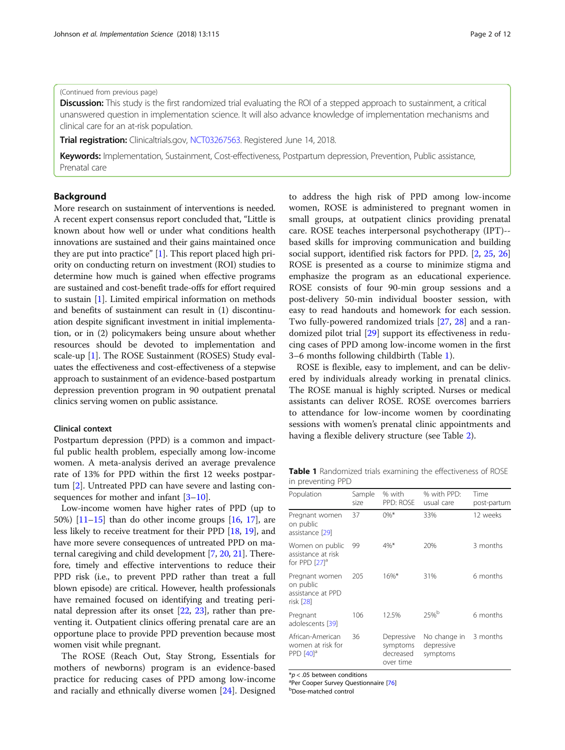#### <span id="page-1-0"></span>(Continued from previous page)

Discussion: This study is the first randomized trial evaluating the ROI of a stepped approach to sustainment, a critical unanswered question in implementation science. It will also advance knowledge of implementation mechanisms and clinical care for an at-risk population.

Trial registration: Clinicaltrials.gov, [NCT03267563](https://www.clinicaltrials.gov/ct2/show/NCT03267563?term=ROSE+Sustainment&rank=1). Registered June 14, 2018.

Keywords: Implementation, Sustainment, Cost-effectiveness, Postpartum depression, Prevention, Public assistance, Prenatal care

# Background

More research on sustainment of interventions is needed. A recent expert consensus report concluded that, "Little is known about how well or under what conditions health innovations are sustained and their gains maintained once they are put into practice" [[1](#page-9-0)]. This report placed high priority on conducting return on investment (ROI) studies to determine how much is gained when effective programs are sustained and cost-benefit trade-offs for effort required to sustain [[1](#page-9-0)]. Limited empirical information on methods and benefits of sustainment can result in (1) discontinuation despite significant investment in initial implementation, or in (2) policymakers being unsure about whether resources should be devoted to implementation and scale-up [[1\]](#page-9-0). The ROSE Sustainment (ROSES) Study evaluates the effectiveness and cost-effectiveness of a stepwise approach to sustainment of an evidence-based postpartum depression prevention program in 90 outpatient prenatal clinics serving women on public assistance.

# Clinical context

Postpartum depression (PPD) is a common and impactful public health problem, especially among low-income women. A meta-analysis derived an average prevalence rate of 13% for PPD within the first 12 weeks postpartum [\[2](#page-9-0)]. Untreated PPD can have severe and lasting consequences for mother and infant [\[3](#page-9-0)–[10\]](#page-10-0).

Low-income women have higher rates of PPD (up to 50%)  $[11-15]$  $[11-15]$  $[11-15]$  $[11-15]$  than do other income groups  $[16, 17]$  $[16, 17]$  $[16, 17]$  $[16, 17]$ , are less likely to receive treatment for their PPD [[18,](#page-10-0) [19](#page-10-0)], and have more severe consequences of untreated PPD on maternal caregiving and child development [\[7,](#page-10-0) [20](#page-10-0), [21\]](#page-10-0). Therefore, timely and effective interventions to reduce their PPD risk (i.e., to prevent PPD rather than treat a full blown episode) are critical. However, health professionals have remained focused on identifying and treating perinatal depression after its onset [\[22,](#page-10-0) [23](#page-10-0)], rather than preventing it. Outpatient clinics offering prenatal care are an opportune place to provide PPD prevention because most women visit while pregnant.

The ROSE (Reach Out, Stay Strong, Essentials for mothers of newborns) program is an evidence-based practice for reducing cases of PPD among low-income and racially and ethnically diverse women [[24\]](#page-10-0). Designed

to address the high risk of PPD among low-income women, ROSE is administered to pregnant women in small groups, at outpatient clinics providing prenatal care. ROSE teaches interpersonal psychotherapy (IPT)- based skills for improving communication and building social support, identified risk factors for PPD. [[2,](#page-9-0) [25](#page-10-0), [26](#page-10-0)] ROSE is presented as a course to minimize stigma and emphasize the program as an educational experience. ROSE consists of four 90-min group sessions and a post-delivery 50-min individual booster session, with easy to read handouts and homework for each session. Two fully-powered randomized trials [\[27,](#page-10-0) [28](#page-10-0)] and a randomized pilot trial [\[29](#page-10-0)] support its effectiveness in reducing cases of PPD among low-income women in the first 3–6 months following childbirth (Table 1).

ROSE is flexible, easy to implement, and can be delivered by individuals already working in prenatal clinics. The ROSE manual is highly scripted. Nurses or medical assistants can deliver ROSE. ROSE overcomes barriers to attendance for low-income women by coordinating sessions with women's prenatal clinic appointments and having a flexible delivery structure (see Table [2\)](#page-2-0).

Table 1 Randomized trials examining the effectiveness of ROSE in preventing PPD

| Population                                                         | Sample<br>size | % with<br>PPD: ROSE                              | % with PPD:<br>usual care                       | Time<br>post-partum |  |  |
|--------------------------------------------------------------------|----------------|--------------------------------------------------|-------------------------------------------------|---------------------|--|--|
| Pregnant women<br>on public<br>assistance [29]                     | 37             | $0\%*$                                           | 33%                                             | 12 weeks            |  |  |
| Women on public<br>assistance at risk<br>for PPD [27] <sup>a</sup> | 99             | $4\%*$                                           | 20%                                             | 3 months            |  |  |
| Pregnant women<br>on public<br>assistance at PPD<br>risk [28]      | 205            | $16\%$ *                                         | 31%                                             | 6 months            |  |  |
| Pregnant<br>adolescents [39]                                       | 106            | 12.5%                                            | $25%^{b}$                                       | 6 months            |  |  |
| African-American<br>women at risk for<br>PPD [40] <sup>d</sup>     | 36             | Depressive<br>symptoms<br>decreased<br>over time | No change in 3 months<br>depressive<br>symptoms |                     |  |  |

 $*p$  < .05 between conditions

<sup>a</sup>Per Cooper Survey Questionnaire [\[76](#page-11-0)]

Dose-matched control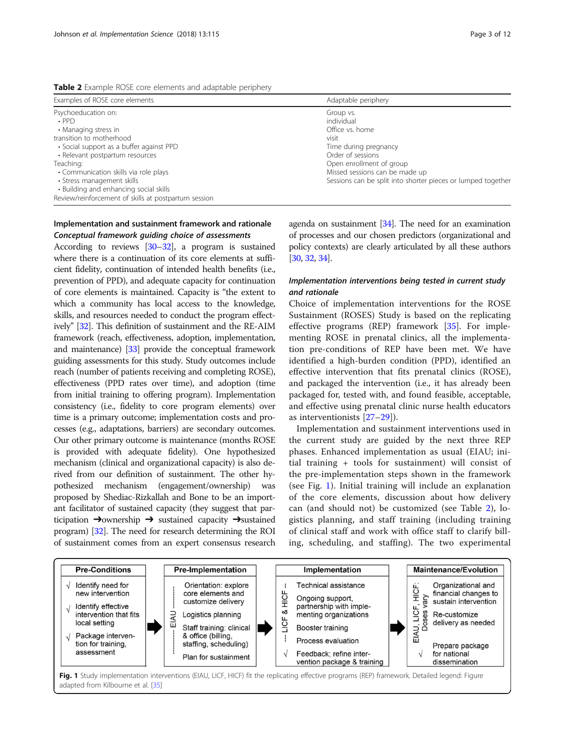<span id="page-2-0"></span>

|  |  |  |  |  |  | Table 2 Example ROSE core elements and adaptable periphery |  |
|--|--|--|--|--|--|------------------------------------------------------------|--|
|--|--|--|--|--|--|------------------------------------------------------------|--|

| Examples of ROSE core elements                                                                                                                                        | Adaptable periphery                                                                            |
|-----------------------------------------------------------------------------------------------------------------------------------------------------------------------|------------------------------------------------------------------------------------------------|
| Psychoeducation on:<br>$\cdot$ PPD<br>• Managing stress in<br>transition to motherhood<br>• Social support as a buffer against PPD                                    | Group vs.<br>individual<br>Office vs. home<br>visit<br>Time during pregnancy                   |
| • Relevant postpartum resources<br>Teaching:                                                                                                                          | Order of sessions<br>Open enrollment of group                                                  |
| • Communication skills via role plays<br>• Stress management skills<br>• Building and enhancing social skills<br>Review/reinforcement of skills at postpartum session | Missed sessions can be made up<br>Sessions can be split into shorter pieces or lumped together |

# Implementation and sustainment framework and rationale Conceptual framework guiding choice of assessments

According to reviews [[30](#page-10-0)–[32](#page-10-0)], a program is sustained where there is a continuation of its core elements at sufficient fidelity, continuation of intended health benefits (i.e., prevention of PPD), and adequate capacity for continuation of core elements is maintained. Capacity is "the extent to which a community has local access to the knowledge, skills, and resources needed to conduct the program effectively" [[32](#page-10-0)]. This definition of sustainment and the RE-AIM framework (reach, effectiveness, adoption, implementation, and maintenance) [\[33\]](#page-10-0) provide the conceptual framework guiding assessments for this study. Study outcomes include reach (number of patients receiving and completing ROSE), effectiveness (PPD rates over time), and adoption (time from initial training to offering program). Implementation consistency (i.e., fidelity to core program elements) over time is a primary outcome; implementation costs and processes (e.g., adaptations, barriers) are secondary outcomes. Our other primary outcome is maintenance (months ROSE is provided with adequate fidelity). One hypothesized mechanism (clinical and organizational capacity) is also derived from our definition of sustainment. The other hypothesized mechanism (engagement/ownership) was proposed by Shediac-Rizkallah and Bone to be an important facilitator of sustained capacity (they suggest that participation ➔ownership ➔ sustained capacity ➔sustained program) [\[32\]](#page-10-0). The need for research determining the ROI of sustainment comes from an expert consensus research agenda on sustainment [\[34\]](#page-10-0). The need for an examination of processes and our chosen predictors (organizational and policy contexts) are clearly articulated by all these authors [[30](#page-10-0), [32](#page-10-0), [34](#page-10-0)].

# Implementation interventions being tested in current study and rationale

Choice of implementation interventions for the ROSE Sustainment (ROSES) Study is based on the replicating effective programs (REP) framework [\[35](#page-10-0)]. For implementing ROSE in prenatal clinics, all the implementation pre-conditions of REP have been met. We have identified a high-burden condition (PPD), identified an effective intervention that fits prenatal clinics (ROSE), and packaged the intervention (i.e., it has already been packaged for, tested with, and found feasible, acceptable, and effective using prenatal clinic nurse health educators as interventionists [[27](#page-10-0)–[29](#page-10-0)]).

Implementation and sustainment interventions used in the current study are guided by the next three REP phases. Enhanced implementation as usual (EIAU; initial training + tools for sustainment) will consist of the pre-implementation steps shown in the framework (see Fig. 1). Initial training will include an explanation of the core elements, discussion about how delivery can (and should not) be customized (see Table 2), logistics planning, and staff training (including training of clinical staff and work with office staff to clarify billing, scheduling, and staffing). The two experimental



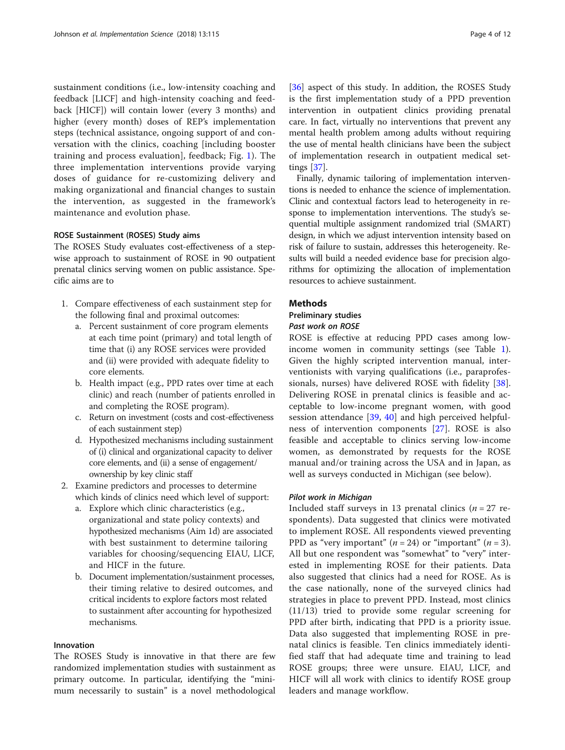sustainment conditions (i.e., low-intensity coaching and feedback [LICF] and high-intensity coaching and feedback [HICF]) will contain lower (every 3 months) and higher (every month) doses of REP's implementation steps (technical assistance, ongoing support of and conversation with the clinics, coaching [including booster training and process evaluation], feedback; Fig. [1](#page-2-0)). The three implementation interventions provide varying doses of guidance for re-customizing delivery and making organizational and financial changes to sustain the intervention, as suggested in the framework's maintenance and evolution phase.

## ROSE Sustainment (ROSES) Study aims

The ROSES Study evaluates cost-effectiveness of a stepwise approach to sustainment of ROSE in 90 outpatient prenatal clinics serving women on public assistance. Specific aims are to

- 1. Compare effectiveness of each sustainment step for the following final and proximal outcomes:
	- a. Percent sustainment of core program elements at each time point (primary) and total length of time that (i) any ROSE services were provided and (ii) were provided with adequate fidelity to core elements.
	- b. Health impact (e.g., PPD rates over time at each clinic) and reach (number of patients enrolled in and completing the ROSE program).
	- c. Return on investment (costs and cost-effectiveness of each sustainment step)
	- d. Hypothesized mechanisms including sustainment of (i) clinical and organizational capacity to deliver core elements, and (ii) a sense of engagement/ ownership by key clinic staff
- 2. Examine predictors and processes to determine which kinds of clinics need which level of support:
	- a. Explore which clinic characteristics (e.g., organizational and state policy contexts) and hypothesized mechanisms (Aim 1d) are associated with best sustainment to determine tailoring variables for choosing/sequencing EIAU, LICF, and HICF in the future.
	- b. Document implementation/sustainment processes, their timing relative to desired outcomes, and critical incidents to explore factors most related to sustainment after accounting for hypothesized mechanisms.

# Innovation

The ROSES Study is innovative in that there are few randomized implementation studies with sustainment as primary outcome. In particular, identifying the "minimum necessarily to sustain" is a novel methodological

[[36\]](#page-10-0) aspect of this study. In addition, the ROSES Study is the first implementation study of a PPD prevention intervention in outpatient clinics providing prenatal care. In fact, virtually no interventions that prevent any mental health problem among adults without requiring the use of mental health clinicians have been the subject of implementation research in outpatient medical settings [\[37](#page-10-0)].

Finally, dynamic tailoring of implementation interventions is needed to enhance the science of implementation. Clinic and contextual factors lead to heterogeneity in response to implementation interventions. The study's sequential multiple assignment randomized trial (SMART) design, in which we adjust intervention intensity based on risk of failure to sustain, addresses this heterogeneity. Results will build a needed evidence base for precision algorithms for optimizing the allocation of implementation resources to achieve sustainment.

# **Methods**

# Preliminary studies Past work on ROSE

ROSE is effective at reducing PPD cases among lowincome women in community settings (see Table [1](#page-1-0)). Given the highly scripted intervention manual, interventionists with varying qualifications (i.e., paraprofessionals, nurses) have delivered ROSE with fidelity [\[38](#page-10-0)]. Delivering ROSE in prenatal clinics is feasible and acceptable to low-income pregnant women, with good session attendance [[39,](#page-10-0) [40\]](#page-10-0) and high perceived helpfulness of intervention components [[27\]](#page-10-0). ROSE is also feasible and acceptable to clinics serving low-income women, as demonstrated by requests for the ROSE manual and/or training across the USA and in Japan, as well as surveys conducted in Michigan (see below).

### Pilot work in Michigan

Included staff surveys in 13 prenatal clinics ( $n = 27$  respondents). Data suggested that clinics were motivated to implement ROSE. All respondents viewed preventing PPD as "very important" ( $n = 24$ ) or "important" ( $n = 3$ ). All but one respondent was "somewhat" to "very" interested in implementing ROSE for their patients. Data also suggested that clinics had a need for ROSE. As is the case nationally, none of the surveyed clinics had strategies in place to prevent PPD. Instead, most clinics (11/13) tried to provide some regular screening for PPD after birth, indicating that PPD is a priority issue. Data also suggested that implementing ROSE in prenatal clinics is feasible. Ten clinics immediately identified staff that had adequate time and training to lead ROSE groups; three were unsure. EIAU, LICF, and HICF will all work with clinics to identify ROSE group leaders and manage workflow.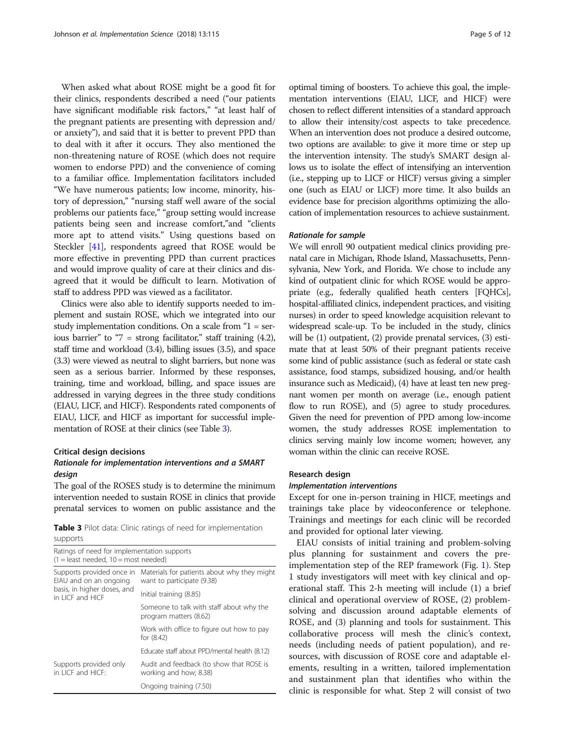When asked what about ROSE might be a good fit for their clinics, respondents described a need ("our patients have significant modifiable risk factors," "at least half of the pregnant patients are presenting with depression and/ or anxiety"), and said that it is better to prevent PPD than to deal with it after it occurs. They also mentioned the non-threatening nature of ROSE (which does not require women to endorse PPD) and the convenience of coming to a familiar office. Implementation facilitators included "We have numerous patients; low income, minority, history of depression," "nursing staff well aware of the social problems our patients face," "group setting would increase patients being seen and increase comfort,"and "clients more apt to attend visits." Using questions based on Steckler [[41](#page-10-0)], respondents agreed that ROSE would be more effective in preventing PPD than current practices and would improve quality of care at their clinics and disagreed that it would be difficult to learn. Motivation of staff to address PPD was viewed as a facilitator.

Clinics were also able to identify supports needed to implement and sustain ROSE, which we integrated into our study implementation conditions. On a scale from "1 = serious barrier" to "7 = strong facilitator," staff training  $(4.2)$ , staff time and workload (3.4), billing issues (3.5), and space (3.3) were viewed as neutral to slight barriers, but none was seen as a serious barrier. Informed by these responses, training, time and workload, billing, and space issues are addressed in varying degrees in the three study conditions (EIAU, LICF, and HICF). Respondents rated components of EIAU, LICF, and HICF as important for successful implementation of ROSE at their clinics (see Table 3).

#### Critical design decisions

# Rationale for implementation interventions and a SMART design

The goal of the ROSES study is to determine the minimum intervention needed to sustain ROSE in clinics that provide prenatal services to women on public assistance and the

Table 3 Pilot data: Clinic ratings of need for implementation supports

| Ratings of need for implementation supports<br>$(1 =$ least needed, $10 =$ most needed)                |                                                                           |  |  |
|--------------------------------------------------------------------------------------------------------|---------------------------------------------------------------------------|--|--|
| Supports provided once in<br>EIAU and on an ongoing<br>basis, in higher doses, and<br>in LICE and HICE | Materials for patients about why they might<br>want to participate (9.38) |  |  |
|                                                                                                        | Initial training (8.85)                                                   |  |  |
|                                                                                                        | Someone to talk with staff about why the<br>program matters (8.62)        |  |  |
|                                                                                                        | Work with office to figure out how to pay<br>for (8.42)                   |  |  |
|                                                                                                        | Educate staff about PPD/mental health (8.12)                              |  |  |
| Supports provided only<br>in LICE and HICE:                                                            | Audit and feedback (to show that ROSE is<br>working and how; 8.38)        |  |  |
|                                                                                                        | Ongoing training (7.50)                                                   |  |  |

optimal timing of boosters. To achieve this goal, the implementation interventions (EIAU, LICF, and HICF) were chosen to reflect different intensities of a standard approach to allow their intensity/cost aspects to take precedence. When an intervention does not produce a desired outcome, two options are available: to give it more time or step up the intervention intensity. The study's SMART design allows us to isolate the effect of intensifying an intervention (i.e., stepping up to LICF or HICF) versus giving a simpler one (such as EIAU or LICF) more time. It also builds an evidence base for precision algorithms optimizing the allocation of implementation resources to achieve sustainment.

#### Rationale for sample

We will enroll 90 outpatient medical clinics providing prenatal care in Michigan, Rhode Island, Massachusetts, Pennsylvania, New York, and Florida. We chose to include any kind of outpatient clinic for which ROSE would be appropriate (e.g., federally qualified heath centers [FQHCs], hospital-affiliated clinics, independent practices, and visiting nurses) in order to speed knowledge acquisition relevant to widespread scale-up. To be included in the study, clinics will be (1) outpatient, (2) provide prenatal services, (3) estimate that at least 50% of their pregnant patients receive some kind of public assistance (such as federal or state cash assistance, food stamps, subsidized housing, and/or health insurance such as Medicaid), (4) have at least ten new pregnant women per month on average (i.e., enough patient flow to run ROSE), and (5) agree to study procedures. Given the need for prevention of PPD among low-income women, the study addresses ROSE implementation to clinics serving mainly low income women; however, any woman within the clinic can receive ROSE.

#### Research design

## Implementation interventions

Except for one in-person training in HICF, meetings and trainings take place by videoconference or telephone. Trainings and meetings for each clinic will be recorded and provided for optional later viewing.

EIAU consists of initial training and problem-solving plus planning for sustainment and covers the preimplementation step of the REP framework (Fig. [1](#page-2-0)). Step 1 study investigators will meet with key clinical and operational staff. This 2-h meeting will include (1) a brief clinical and operational overview of ROSE, (2) problemsolving and discussion around adaptable elements of ROSE, and (3) planning and tools for sustainment. This collaborative process will mesh the clinic's context, needs (including needs of patient population), and resources, with discussion of ROSE core and adaptable elements, resulting in a written, tailored implementation and sustainment plan that identifies who within the clinic is responsible for what. Step 2 will consist of two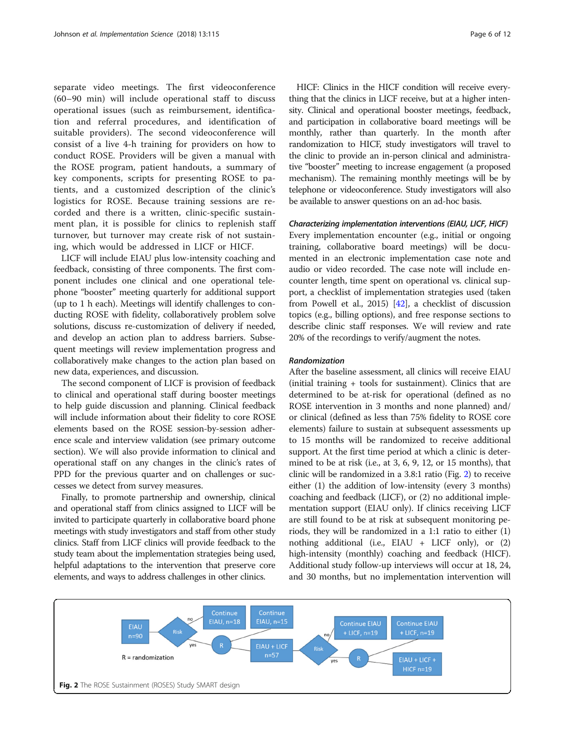<span id="page-5-0"></span>separate video meetings. The first videoconference (60–90 min) will include operational staff to discuss operational issues (such as reimbursement, identification and referral procedures, and identification of suitable providers). The second videoconference will consist of a live 4-h training for providers on how to conduct ROSE. Providers will be given a manual with the ROSE program, patient handouts, a summary of key components, scripts for presenting ROSE to patients, and a customized description of the clinic's logistics for ROSE. Because training sessions are recorded and there is a written, clinic-specific sustainment plan, it is possible for clinics to replenish staff turnover, but turnover may create risk of not sustaining, which would be addressed in LICF or HICF.

LICF will include EIAU plus low-intensity coaching and feedback, consisting of three components. The first component includes one clinical and one operational telephone "booster" meeting quarterly for additional support (up to 1 h each). Meetings will identify challenges to conducting ROSE with fidelity, collaboratively problem solve solutions, discuss re-customization of delivery if needed, and develop an action plan to address barriers. Subsequent meetings will review implementation progress and collaboratively make changes to the action plan based on new data, experiences, and discussion.

The second component of LICF is provision of feedback to clinical and operational staff during booster meetings to help guide discussion and planning. Clinical feedback will include information about their fidelity to core ROSE elements based on the ROSE session-by-session adherence scale and interview validation (see primary outcome section). We will also provide information to clinical and operational staff on any changes in the clinic's rates of PPD for the previous quarter and on challenges or successes we detect from survey measures.

Finally, to promote partnership and ownership, clinical and operational staff from clinics assigned to LICF will be invited to participate quarterly in collaborative board phone meetings with study investigators and staff from other study clinics. Staff from LICF clinics will provide feedback to the study team about the implementation strategies being used, helpful adaptations to the intervention that preserve core elements, and ways to address challenges in other clinics.

HICF: Clinics in the HICF condition will receive everything that the clinics in LICF receive, but at a higher intensity. Clinical and operational booster meetings, feedback, and participation in collaborative board meetings will be monthly, rather than quarterly. In the month after randomization to HICF, study investigators will travel to the clinic to provide an in-person clinical and administrative "booster" meeting to increase engagement (a proposed mechanism). The remaining monthly meetings will be by telephone or videoconference. Study investigators will also be available to answer questions on an ad-hoc basis.

# Characterizing implementation interventions (EIAU, LICF, HICF)

Every implementation encounter (e.g., initial or ongoing training, collaborative board meetings) will be documented in an electronic implementation case note and audio or video recorded. The case note will include encounter length, time spent on operational vs. clinical support, a checklist of implementation strategies used (taken from Powell et al., 2015) [\[42](#page-10-0)], a checklist of discussion topics (e.g., billing options), and free response sections to describe clinic staff responses. We will review and rate 20% of the recordings to verify/augment the notes.

#### Randomization

After the baseline assessment, all clinics will receive EIAU (initial training + tools for sustainment). Clinics that are determined to be at-risk for operational (defined as no ROSE intervention in 3 months and none planned) and/ or clinical (defined as less than 75% fidelity to ROSE core elements) failure to sustain at subsequent assessments up to 15 months will be randomized to receive additional support. At the first time period at which a clinic is determined to be at risk (i.e., at 3, 6, 9, 12, or 15 months), that clinic will be randomized in a 3.8:1 ratio (Fig. 2) to receive either (1) the addition of low-intensity (every 3 months) coaching and feedback (LICF), or (2) no additional implementation support (EIAU only). If clinics receiving LICF are still found to be at risk at subsequent monitoring periods, they will be randomized in a 1:1 ratio to either (1) nothing additional (i.e.,  $EIAU + LICF$  only), or (2) high-intensity (monthly) coaching and feedback (HICF). Additional study follow-up interviews will occur at 18, 24, and 30 months, but no implementation intervention will

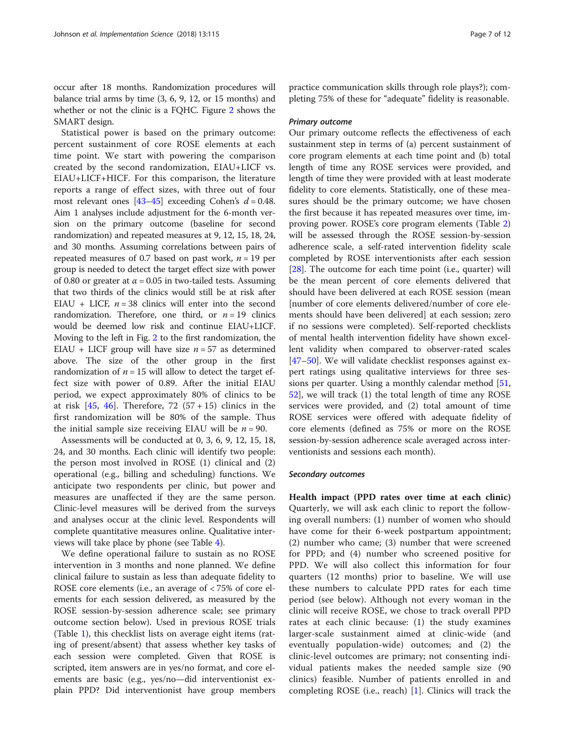occur after 18 months. Randomization procedures will balance trial arms by time (3, 6, 9, 12, or 15 months) and whether or not the clinic is a FQHC. Figure [2](#page-5-0) shows the SMART design.

Statistical power is based on the primary outcome: percent sustainment of core ROSE elements at each time point. We start with powering the comparison created by the second randomization, EIAU+LICF vs. EIAU+LICF+HICF. For this comparison, the literature reports a range of effect sizes, with three out of four most relevant ones [\[43](#page-10-0)–[45](#page-10-0)] exceeding Cohen's  $d = 0.48$ . Aim 1 analyses include adjustment for the 6-month version on the primary outcome (baseline for second randomization) and repeated measures at 9, 12, 15, 18, 24, and 30 months. Assuming correlations between pairs of repeated measures of 0.7 based on past work,  $n = 19$  per group is needed to detect the target effect size with power of 0.80 or greater at  $\alpha$  = 0.05 in two-tailed tests. Assuming that two thirds of the clinics would still be at risk after EIAU + LICF,  $n = 38$  clinics will enter into the second randomization. Therefore, one third, or  $n = 19$  clinics would be deemed low risk and continue EIAU+LICF. Moving to the left in Fig. [2](#page-5-0) to the first randomization, the EIAU + LICF group will have size  $n = 57$  as determined above. The size of the other group in the first randomization of  $n = 15$  will allow to detect the target effect size with power of 0.89. After the initial EIAU period, we expect approximately 80% of clinics to be at risk  $[45, 46]$  $[45, 46]$  $[45, 46]$  $[45, 46]$ . Therefore, 72  $(57 + 15)$  clinics in the first randomization will be 80% of the sample. Thus the initial sample size receiving EIAU will be  $n = 90$ .

Assessments will be conducted at 0, 3, 6, 9, 12, 15, 18, 24, and 30 months. Each clinic will identify two people: the person most involved in ROSE (1) clinical and (2) operational (e.g., billing and scheduling) functions. We anticipate two respondents per clinic, but power and measures are unaffected if they are the same person. Clinic-level measures will be derived from the surveys and analyses occur at the clinic level. Respondents will complete quantitative measures online. Qualitative interviews will take place by phone (see Table [4\)](#page-7-0).

We define operational failure to sustain as no ROSE intervention in 3 months and none planned. We define clinical failure to sustain as less than adequate fidelity to ROSE core elements (i.e., an average of < 75% of core elements for each session delivered, as measured by the ROSE session-by-session adherence scale; see primary outcome section below). Used in previous ROSE trials (Table [1](#page-1-0)), this checklist lists on average eight items (rating of present/absent) that assess whether key tasks of each session were completed. Given that ROSE is scripted, item answers are in yes/no format, and core elements are basic (e.g., yes/no—did interventionist explain PPD? Did interventionist have group members

practice communication skills through role plays?); completing 75% of these for "adequate" fidelity is reasonable.

#### Primary outcome

Our primary outcome reflects the effectiveness of each sustainment step in terms of (a) percent sustainment of core program elements at each time point and (b) total length of time any ROSE services were provided, and length of time they were provided with at least moderate fidelity to core elements. Statistically, one of these measures should be the primary outcome; we have chosen the first because it has repeated measures over time, improving power. ROSE's core program elements (Table [2](#page-2-0)) will be assessed through the ROSE session-by-session adherence scale, a self-rated intervention fidelity scale completed by ROSE interventionists after each session [[28\]](#page-10-0). The outcome for each time point (i.e., quarter) will be the mean percent of core elements delivered that should have been delivered at each ROSE session (mean [number of core elements delivered/number of core elements should have been delivered] at each session; zero if no sessions were completed). Self-reported checklists of mental health intervention fidelity have shown excellent validity when compared to observer-rated scales [[47](#page-10-0)–[50](#page-11-0)]. We will validate checklist responses against expert ratings using qualitative interviews for three sessions per quarter. Using a monthly calendar method [[51](#page-11-0), [52\]](#page-11-0), we will track (1) the total length of time any ROSE services were provided, and (2) total amount of time ROSE services were offered with adequate fidelity of core elements (defined as 75% or more on the ROSE session-by-session adherence scale averaged across interventionists and sessions each month).

#### Secondary outcomes

Health impact (PPD rates over time at each clinic) Quarterly, we will ask each clinic to report the following overall numbers: (1) number of women who should have come for their 6-week postpartum appointment; (2) number who came; (3) number that were screened for PPD; and (4) number who screened positive for PPD. We will also collect this information for four quarters (12 months) prior to baseline. We will use these numbers to calculate PPD rates for each time period (see below). Although not every woman in the clinic will receive ROSE, we chose to track overall PPD rates at each clinic because: (1) the study examines larger-scale sustainment aimed at clinic-wide (and eventually population-wide) outcomes; and (2) the clinic-level outcomes are primary; not consenting individual patients makes the needed sample size (90 clinics) feasible. Number of patients enrolled in and completing ROSE (i.e., reach) [\[1](#page-9-0)]. Clinics will track the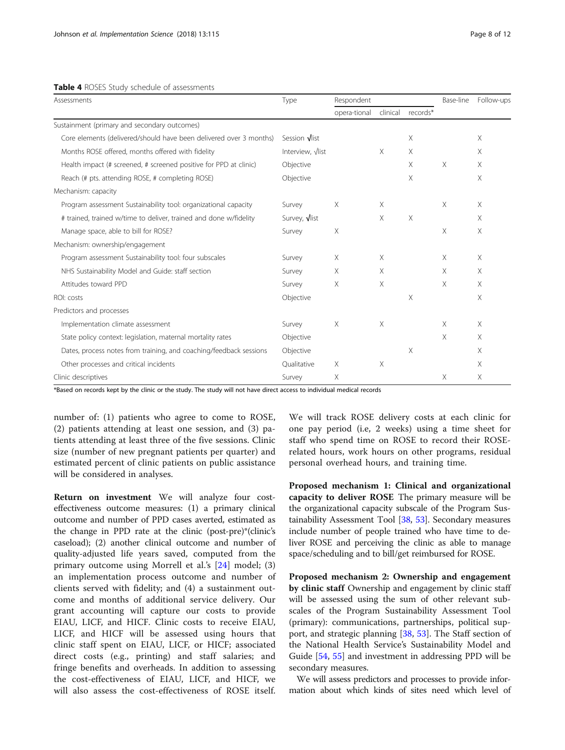<span id="page-7-0"></span>

| Assessments                                                        | Type                  | Respondent   |          |          | Base-line | Follow-ups |
|--------------------------------------------------------------------|-----------------------|--------------|----------|----------|-----------|------------|
|                                                                    |                       | opera-tional | clinical | records* |           |            |
| Sustainment (primary and secondary outcomes)                       |                       |              |          |          |           |            |
| Core elements (delivered/should have been delivered over 3 months) | Session <i>J</i> list |              |          | X        |           | X          |
| Months ROSE offered, months offered with fidelity                  | Interview, Vlist      |              | Χ        | X        |           | X          |
| Health impact (# screened, # screened positive for PPD at clinic)  | Objective             |              |          | X        | X         | X          |
| Reach (# pts. attending ROSE, # completing ROSE)                   | Objective             |              |          | Χ        |           | X          |
| Mechanism: capacity                                                |                       |              |          |          |           |            |
| Program assessment Sustainability tool: organizational capacity    | Survey                | X            | Χ        |          | X         | $\times$   |
| # trained, trained w/time to deliver, trained and done w/fidelity  | Survey, $\sqrt{$ list |              | X        | X        |           | $\times$   |
| Manage space, able to bill for ROSE?                               | Survey                | Χ            |          |          | X         | X          |
| Mechanism: ownership/engagement                                    |                       |              |          |          |           |            |
| Program assessment Sustainability tool: four subscales             | Survey                | X            | X        |          | X         | $\times$   |
| NHS Sustainability Model and Guide: staff section                  | Survey                | X            | X        |          | Χ         | X          |
| Attitudes toward PPD                                               | Survey                | X            | Χ        |          | X         | X          |
| ROI: costs                                                         | Objective             |              |          | Χ        |           | X          |
| Predictors and processes                                           |                       |              |          |          |           |            |
| Implementation climate assessment                                  | Survey                | X            | $\times$ |          | X         | X          |
| State policy context: legislation, maternal mortality rates        | Objective             |              |          |          | Χ         | X          |
| Dates, process notes from training, and coaching/feedback sessions | Objective             |              |          | Χ        |           | X          |
| Other processes and critical incidents                             | Oualitative           | X            | X        |          |           | X          |
| Clinic descriptives                                                | Survey                | X            |          |          | X         | X          |

\*Based on records kept by the clinic or the study. The study will not have direct access to individual medical records

number of: (1) patients who agree to come to ROSE, (2) patients attending at least one session, and (3) patients attending at least three of the five sessions. Clinic size (number of new pregnant patients per quarter) and estimated percent of clinic patients on public assistance will be considered in analyses.

Return on investment We will analyze four costeffectiveness outcome measures: (1) a primary clinical outcome and number of PPD cases averted, estimated as the change in PPD rate at the clinic (post-pre)\*(clinic's caseload); (2) another clinical outcome and number of quality-adjusted life years saved, computed from the primary outcome using Morrell et al.'s [[24\]](#page-10-0) model; (3) an implementation process outcome and number of clients served with fidelity; and (4) a sustainment outcome and months of additional service delivery. Our grant accounting will capture our costs to provide EIAU, LICF, and HICF. Clinic costs to receive EIAU, LICF, and HICF will be assessed using hours that clinic staff spent on EIAU, LICF, or HICF; associated direct costs (e.g., printing) and staff salaries; and fringe benefits and overheads. In addition to assessing the cost-effectiveness of EIAU, LICF, and HICF, we will also assess the cost-effectiveness of ROSE itself.

We will track ROSE delivery costs at each clinic for one pay period (i.e, 2 weeks) using a time sheet for staff who spend time on ROSE to record their ROSErelated hours, work hours on other programs, residual personal overhead hours, and training time.

Proposed mechanism 1: Clinical and organizational capacity to deliver ROSE The primary measure will be the organizational capacity subscale of the Program Sustainability Assessment Tool [\[38,](#page-10-0) [53\]](#page-11-0). Secondary measures include number of people trained who have time to deliver ROSE and perceiving the clinic as able to manage space/scheduling and to bill/get reimbursed for ROSE.

Proposed mechanism 2: Ownership and engagement by clinic staff Ownership and engagement by clinic staff will be assessed using the sum of other relevant subscales of the Program Sustainability Assessment Tool (primary): communications, partnerships, political support, and strategic planning [[38](#page-10-0), [53\]](#page-11-0). The Staff section of the National Health Service's Sustainability Model and Guide [[54,](#page-11-0) [55\]](#page-11-0) and investment in addressing PPD will be secondary measures.

We will assess predictors and processes to provide information about which kinds of sites need which level of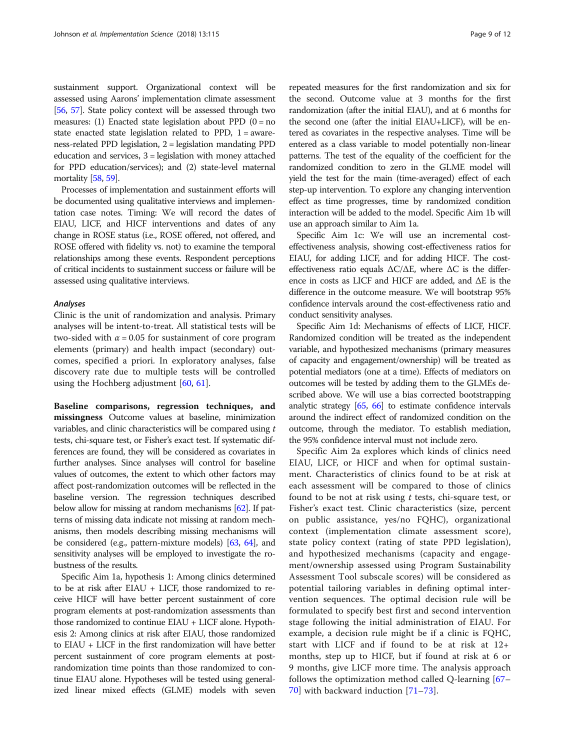sustainment support. Organizational context will be assessed using Aarons' implementation climate assessment [[56](#page-11-0), [57](#page-11-0)]. State policy context will be assessed through two measures: (1) Enacted state legislation about PPD  $(0 = no$ state enacted state legislation related to PPD, 1 = awareness-related PPD legislation, 2 = legislation mandating PPD education and services, 3 = legislation with money attached for PPD education/services); and (2) state-level maternal mortality [[58](#page-11-0), [59](#page-11-0)].

Processes of implementation and sustainment efforts will be documented using qualitative interviews and implementation case notes. Timing: We will record the dates of EIAU, LICF, and HICF interventions and dates of any change in ROSE status (i.e., ROSE offered, not offered, and ROSE offered with fidelity vs. not) to examine the temporal relationships among these events. Respondent perceptions of critical incidents to sustainment success or failure will be assessed using qualitative interviews.

### Analyses

Clinic is the unit of randomization and analysis. Primary analyses will be intent-to-treat. All statistical tests will be two-sided with  $\alpha$  = 0.05 for sustainment of core program elements (primary) and health impact (secondary) outcomes, specified a priori. In exploratory analyses, false discovery rate due to multiple tests will be controlled using the Hochberg adjustment [\[60,](#page-11-0) [61\]](#page-11-0).

Baseline comparisons, regression techniques, and missingness Outcome values at baseline, minimization variables, and clinic characteristics will be compared using  $t$ tests, chi-square test, or Fisher's exact test. If systematic differences are found, they will be considered as covariates in further analyses. Since analyses will control for baseline values of outcomes, the extent to which other factors may affect post-randomization outcomes will be reflected in the baseline version. The regression techniques described below allow for missing at random mechanisms [\[62\]](#page-11-0). If patterns of missing data indicate not missing at random mechanisms, then models describing missing mechanisms will be considered (e.g., pattern-mixture models) [\[63,](#page-11-0) [64\]](#page-11-0), and sensitivity analyses will be employed to investigate the robustness of the results.

Specific Aim 1a, hypothesis 1: Among clinics determined to be at risk after EIAU + LICF, those randomized to receive HICF will have better percent sustainment of core program elements at post-randomization assessments than those randomized to continue EIAU + LICF alone. Hypothesis 2: Among clinics at risk after EIAU, those randomized to EIAU + LICF in the first randomization will have better percent sustainment of core program elements at postrandomization time points than those randomized to continue EIAU alone. Hypotheses will be tested using generalized linear mixed effects (GLME) models with seven

repeated measures for the first randomization and six for the second. Outcome value at 3 months for the first randomization (after the initial EIAU), and at 6 months for the second one (after the initial EIAU+LICF), will be entered as covariates in the respective analyses. Time will be entered as a class variable to model potentially non-linear patterns. The test of the equality of the coefficient for the randomized condition to zero in the GLME model will yield the test for the main (time-averaged) effect of each step-up intervention. To explore any changing intervention effect as time progresses, time by randomized condition interaction will be added to the model. Specific Aim 1b will use an approach similar to Aim 1a.

Specific Aim 1c: We will use an incremental costeffectiveness analysis, showing cost-effectiveness ratios for EIAU, for adding LICF, and for adding HICF. The costeffectiveness ratio equals  $\Delta C/\Delta E$ , where  $\Delta C$  is the difference in costs as LICF and HICF are added, and ΔE is the difference in the outcome measure. We will bootstrap 95% confidence intervals around the cost-effectiveness ratio and conduct sensitivity analyses.

Specific Aim 1d: Mechanisms of effects of LICF, HICF. Randomized condition will be treated as the independent variable, and hypothesized mechanisms (primary measures of capacity and engagement/ownership) will be treated as potential mediators (one at a time). Effects of mediators on outcomes will be tested by adding them to the GLMEs described above. We will use a bias corrected bootstrapping analytic strategy [\[65,](#page-11-0) [66\]](#page-11-0) to estimate confidence intervals around the indirect effect of randomized condition on the outcome, through the mediator. To establish mediation, the 95% confidence interval must not include zero.

Specific Aim 2a explores which kinds of clinics need EIAU, LICF, or HICF and when for optimal sustainment. Characteristics of clinics found to be at risk at each assessment will be compared to those of clinics found to be not at risk using  $t$  tests, chi-square test, or Fisher's exact test. Clinic characteristics (size, percent on public assistance, yes/no FQHC), organizational context (implementation climate assessment score), state policy context (rating of state PPD legislation), and hypothesized mechanisms (capacity and engagement/ownership assessed using Program Sustainability Assessment Tool subscale scores) will be considered as potential tailoring variables in defining optimal intervention sequences. The optimal decision rule will be formulated to specify best first and second intervention stage following the initial administration of EIAU. For example, a decision rule might be if a clinic is FQHC, start with LICF and if found to be at risk at 12+ months, step up to HICF, but if found at risk at 6 or 9 months, give LICF more time. The analysis approach follows the optimization method called Q-learning [[67](#page-11-0)– [70\]](#page-11-0) with backward induction [[71](#page-11-0)–[73\]](#page-11-0).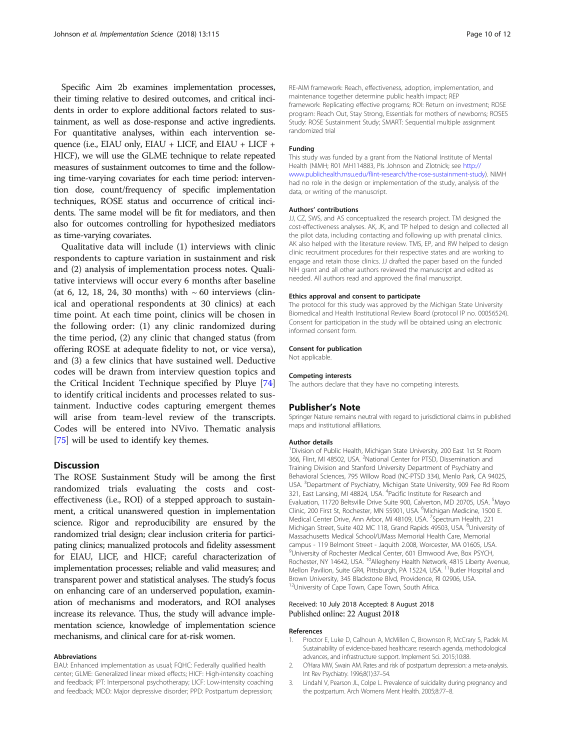<span id="page-9-0"></span>Specific Aim 2b examines implementation processes, their timing relative to desired outcomes, and critical incidents in order to explore additional factors related to sustainment, as well as dose-response and active ingredients. For quantitative analyses, within each intervention sequence (i.e., EIAU only, EIAU + LICF, and EIAU + LICF + HICF), we will use the GLME technique to relate repeated measures of sustainment outcomes to time and the following time-varying covariates for each time period: intervention dose, count/frequency of specific implementation techniques, ROSE status and occurrence of critical incidents. The same model will be fit for mediators, and then also for outcomes controlling for hypothesized mediators as time-varying covariates.

Qualitative data will include (1) interviews with clinic respondents to capture variation in sustainment and risk and (2) analysis of implementation process notes. Qualitative interviews will occur every 6 months after baseline (at 6, 12, 18, 24, 30 months) with  $\sim 60$  interviews (clinical and operational respondents at 30 clinics) at each time point. At each time point, clinics will be chosen in the following order: (1) any clinic randomized during the time period, (2) any clinic that changed status (from offering ROSE at adequate fidelity to not, or vice versa), and (3) a few clinics that have sustained well. Deductive codes will be drawn from interview question topics and the Critical Incident Technique specified by Pluye [[74](#page-11-0)] to identify critical incidents and processes related to sustainment. Inductive codes capturing emergent themes will arise from team-level review of the transcripts. Codes will be entered into NVivo. Thematic analysis [[75\]](#page-11-0) will be used to identify key themes.

# **Discussion**

The ROSE Sustainment Study will be among the first randomized trials evaluating the costs and costeffectiveness (i.e., ROI) of a stepped approach to sustainment, a critical unanswered question in implementation science. Rigor and reproducibility are ensured by the randomized trial design; clear inclusion criteria for participating clinics; manualized protocols and fidelity assessment for EIAU, LICF, and HICF; careful characterization of implementation processes; reliable and valid measures; and transparent power and statistical analyses. The study's focus on enhancing care of an underserved population, examination of mechanisms and moderators, and ROI analyses increase its relevance. Thus, the study will advance implementation science, knowledge of implementation science mechanisms, and clinical care for at-risk women.

#### Abbreviations

EIAU: Enhanced implementation as usual; FQHC: Federally qualified health center; GLME: Generalized linear mixed effects; HICF: High-intensity coaching and feedback; IPT: Interpersonal psychotherapy; LICF: Low-intensity coaching and feedback; MDD: Major depressive disorder; PPD: Postpartum depression;

RE-AIM framework: Reach, effectiveness, adoption, implementation, and maintenance together determine public health impact; REP framework: Replicating effective programs; ROI: Return on investment; ROSE program: Reach Out, Stay Strong, Essentials for mothers of newborns; ROSES Study: ROSE Sustainment Study; SMART: Sequential multiple assignment randomized trial

#### Funding

This study was funded by a grant from the National Institute of Mental Health (NIMH; R01 MH114883, PIs Johnson and Zlotnick; see [http://](http://www.publichealth.msu.edu/flint-research/the-rose-sustainment-study) [www.publichealth.msu.edu/flint-research/the-rose-sustainment-study\)](http://www.publichealth.msu.edu/flint-research/the-rose-sustainment-study). NIMH had no role in the design or implementation of the study, analysis of the data, or writing of the manuscript.

#### Authors' contributions

JJ, CZ, SWS, and AS conceptualized the research project. TM designed the cost-effectiveness analyses. AK, JK, and TP helped to design and collected all the pilot data, including contacting and following up with prenatal clinics. AK also helped with the literature review. TMS, EP, and RW helped to design clinic recruitment procedures for their respective states and are working to engage and retain those clinics. JJ drafted the paper based on the funded NIH grant and all other authors reviewed the manuscript and edited as needed. All authors read and approved the final manuscript.

#### Ethics approval and consent to participate

The protocol for this study was approved by the Michigan State University Biomedical and Health Institutional Review Board (protocol IP no. 00056524). Consent for participation in the study will be obtained using an electronic informed consent form.

#### Consent for publication

Not applicable.

#### Competing interests

The authors declare that they have no competing interests.

#### Publisher's Note

Springer Nature remains neutral with regard to jurisdictional claims in published maps and institutional affiliations.

#### Author details

<sup>1</sup> Division of Public Health, Michigan State University, 200 East 1st St Room 366, Flint, MI 48502, USA. <sup>2</sup>National Center for PTSD, Dissemination and Training Division and Stanford University Department of Psychiatry and Behavioral Sciences, 795 Willow Road (NC-PTSD 334), Menlo Park, CA 94025, USA. <sup>3</sup>Department of Psychiatry, Michigan State University, 909 Fee Rd Room 321, East Lansing, MI 48824, USA. <sup>4</sup>Pacific Institute for Research and Evaluation, 11720 Beltsville Drive Suite 900, Calverton, MD 20705, USA. <sup>5</sup>Mayc Clinic, 200 First St, Rochester, MN 55901, USA. <sup>6</sup>Michigan Medicine, 1500 E Medical Center Drive, Ann Arbor, MI 48109, USA. <sup>7</sup>Spectrum Health, 221 Michigan Street, Suite 402 MC 118, Grand Rapids 49503, USA. <sup>8</sup>University of Massachusetts Medical School/UMass Memorial Health Care, Memorial campus - 119 Belmont Street - Jaquith 2.008, Worcester, MA 01605, USA. <sup>9</sup>University of Rochester Medical Center, 601 Elmwood Ave, Box PSYCH Rochester, NY 14642, USA. <sup>10</sup>Allegheny Health Network, 4815 Liberty Avenue, Mellon Pavilion, Suite GR4, Pittsburgh, PA 15224, USA. <sup>11</sup>Butler Hospital and Brown University, 345 Blackstone Blvd, Providence, RI 02906, USA. <sup>12</sup>University of Cape Town, Cape Town, South Africa.

#### Received: 10 July 2018 Accepted: 8 August 2018 Published online: 22 August 2018

#### References

- 1. Proctor E, Luke D, Calhoun A, McMillen C, Brownson R, McCrary S, Padek M. Sustainability of evidence-based healthcare: research agenda, methodological advances, and infrastructure support. Implement Sci. 2015;10:88.
- 2. O'Hara MW, Swain AM. Rates and risk of postpartum depression: a meta-analysis. Int Rev Psychiatry. 1996;8(1):37–54.
- 3. Lindahl V, Pearson JL, Colpe L. Prevalence of suicidality during pregnancy and the postpartum. Arch Womens Ment Health. 2005;8:77–8.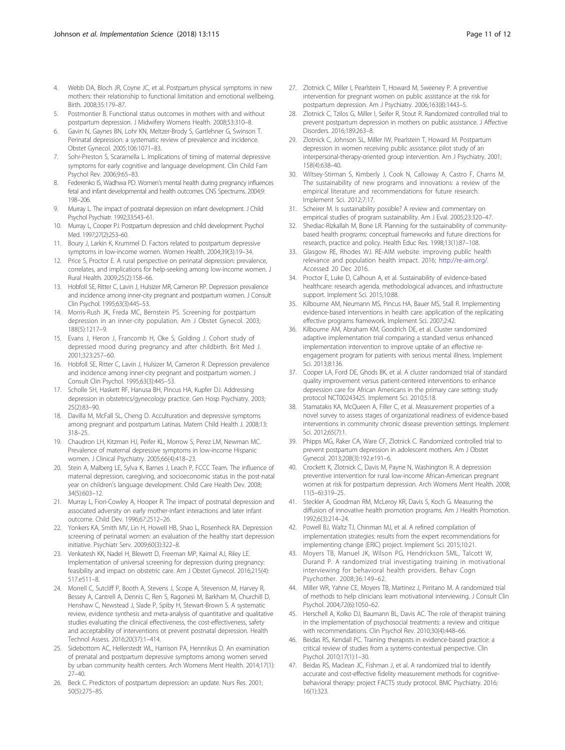- <span id="page-10-0"></span>4. Webb DA, Bloch JR, Coyne JC, et al. Postpartum physical symptoms in new mothers: their relationship to functional limitation and emotional wellbeing. Birth. 2008;35:179–87.
- 5. Postmontier B. Functional status outcomes in mothers with and without postpartum depression. J Midwifery Womens Health. 2008;53:310–8.
- 6. Gavin N, Gaynes BN, Lohr KN, Meltzer-Brody S, Gartlehner G, Swinson T. Perinatal depression: a systematic review of prevalence and incidence. Obstet Gynecol. 2005;106:1071–83.
- 7. Sohr-Preston S, Scaramella L. Implications of timing of maternal depressive symptoms for early cognitive and language development. Clin Child Fam Psychol Rev. 2006;9:65–83.
- 8. Federenko IS, Wadhwa PD. Women's mental health during pregnancy influences fetal and infant developmental and health outcomes. CNS Spectrums. 2004;9: 198–206.
- 9. Murray L. The impact of postnatal depression on infant development. J Child Psychol Psychiatr. 1992;33:543–61.
- 10. Murray L, Cooper PJ. Postpartum depression and child development. Psychol Med. 1997;27(2):253–60.
- 11. Boury J, Larkin K, Krummel D. Factors related to postpartum depressive symptoms in low-income women. Women Health. 2004;39(3):19–34.
- 12. Price S, Proctor E. A rural perspective on perinatal depression: prevalence, correlates, and implications for help-seeking among low-income women. J Rural Health. 2009;25(2):158–66.
- 13. Hobfoll SE, Ritter C, Lavin J, Hulsizer MR, Cameron RP. Depression prevalence and incidence among inner-city pregnant and postpartum women. J Consult Clin Psychol. 1995;63(3):445–53.
- 14. Morris-Rush JK, Freda MC, Bernstein PS. Screening for postpartum depression in an inner-city population. Am J Obstet Gynecol. 2003; 188(5):1217–9.
- 15. Evans J, Heron J, Francomb H, Oke S, Golding J. Cohort study of depressed mood during pregnancy and after childbirth. Brit Med J. 2001;323:257–60.
- 16. Hobfoll SE, Ritter C, Lavin J, Hulsizer M, Cameron R. Depression prevalence and incidence among inner-city pregnant and postpartum women. J Consult Clin Psychol. 1995;63(3):445–53.
- 17. Scholle SH, Haskett RF, Hanusa BH, Pincus HA, Kupfer DJ. Addressing depression in obstetrics/gynecology practice. Gen Hosp Psychiatry. 2003; 25(2):83–90.
- 18. Davilla M, McFall SL, Cheng D. Acculturation and depressive symptoms among pregnant and postpartum Latinas. Matern Child Health J. 2008;13: 318–25.
- 19. Chaudron LH, Kitzman HJ, Peifer KL, Morrow S, Perez LM, Newman MC. Prevalence of maternal depressive symptoms in low-income Hispanic women. J Clinical Psychiatry. 2005;66(4):418–23.
- 20. Stein A, Malberg LE, Sylva K, Barnes J, Leach P, FCCC Team. The influence of maternal depression, caregiving, and socioeconomic status in the post-natal year on children's language development. Child Care Health Dev. 2008; 34(5):603–12.
- 21. Murray L, Fiori-Cowley A, Hooper R. The impact of postnatal depression and associated adversity on early mother-infant interactions and later infant outcome. Child Dev. 1996;67:2512–26.
- 22. Yonkers KA, Smith MV, Lin H, Howell HB, Shao L, Rosenheck RA. Depression screening of perinatal women: an evaluation of the healthy start depression initiative. Psychiatr Serv. 2009;60(3):322–8.
- 23. Venkatesh KK, Nadel H, Blewett D, Freeman MP, Kaimal AJ, Riley LE. Implementation of universal screening for depression during pregnancy: feasibility and impact on obstetric care. Am J Obstet Gynecol. 2016;215(4): 517.e511–8.
- 24. Morrell C, Sutcliff P, Booth A, Stevens J, Scope A, Stevenson M, Harvey R, Bessey A, Cantrell A, Dennis C, Ren S, Ragonesi M, Barkham M, Churchill D, Henshaw C, Newstead J, Slade P, Spiby H, Stewart-Brown S. A systematic review, evidence synthesis and meta-analysis of quantitative and qualitative studies evaluating the clinical effectiveness, the cost-effectiveness, safety and acceptability of interventions ot prevent postnatal depression. Health Technol Assess. 2016;20(37):1–414.
- 25. Sidebottom AC, Hellerstedt WL, Harrison PA, Hennrikus D. An examination of prenatal and postpartum depressive symptoms among women served by urban community health centers. Arch Womens Ment Health. 2014;17(1):  $27 - 40$
- 26. Beck C. Predictors of postpartum depression: an update. Nurs Res. 2001; 50(5):275–85.
- 27. Zlotnick C, Miller I, Pearlstein T, Howard M, Sweeney P. A preventive intervention for pregnant women on public assistance at the risk for postpartum depression. Am J Psychiatry. 2006;163(8):1443–5.
- 28. Zlotnick C, Tzilos G, Miller I, Seifer R, Stout R. Randomized controlled trial to prevent postpartum depression in mothers on public assistance. J Affective Disorders. 2016;189:263–8.
- 29. Zlotnick C, Johnson SL, Miller IW, Pearlstein T, Howard M. Postpartum depression in women receiving public assistance: pilot study of an interpersonal-therapy-oriented group intervention. Am J Psychiatry. 2001; 158(4):638–40.
- 30. Wiltsey-Stirman S, Kimberly J, Cook N, Calloway A, Castro F, Charns M. The sustainability of new programs and innovations: a review of the empirical literature and recommendations for future research. Implement Sci. 2012;7:17.
- 31. Scheirer M. Is sustainability possible? A review and commentary on empirical studies of program sustainability. Am J Eval. 2005;23:320–47.
- 32. Shediac-Rizkallah M, Bone LR. Planning for the sustainability of communitybased health programs: conceptual frameworks and future directions for research, practice and policy. Health Educ Res. 1998;13(1):87–108.
- 33. Glasgow RE, Rhodes WJ. RE-AIM website: improving public health relevance and population health impact. 2016; <http://re-aim.org>/. Accessed 20 Dec 2016.
- 34. Proctor E, Luke D, Calhoun A, et al. Sustainability of evidence-based healthcare: research agenda, methodological advances, and infrastructure support. Implement Sci. 2015;10:88.
- 35. Kilbourne AM, Neumann MS, Pincus HA, Bauer MS, Stall R. Implementing evidence-based interventions in health care: application of the replicating effective programs framework. Implement Sci. 2007;2:42.
- Kilbourne AM, Abraham KM, Goodrich DE, et al. Cluster randomized adaptive implementation trial comparing a standard versus enhanced implementation intervention to improve uptake of an effective reengagement program for patients with serious mental illness. Implement Sci. 2013;8:136.
- 37. Cooper LA, Ford DE, Ghods BK, et al. A cluster randomized trial of standard quality improvement versus patient-centered interventions to enhance depression care for African Americans in the primary care setting: study protocol NCT00243425. Implement Sci. 2010;5:18.
- 38. Stamatakis KA, McQueen A, Filler C, et al. Measurement properties of a novel survey to assess stages of organizational readiness of evidence-based interventions in community chronic disease prevention settings. Implement Sci. 2012;65(7):1.
- 39. Phipps MG, Raker CA, Ware CF, Zlotnick C. Randomized controlled trial to prevent postpartum depression in adolescent mothers. Am J Obstet Gynecol. 2013;208(3):192.e191–6.
- 40. Crockett K, Zlotnick C, Davis M, Payne N, Washington R. A depression preventive intervention for rural low-income African-American pregnant women at risk for postpartum depression. Arch Womens Ment Health. 2008; 11(5–6):319–25.
- 41. Steckler A, Goodman RM, McLeroy KR, Davis S, Koch G. Measuring the diffusion of innovative health promotion programs. Am J Health Promotion. 1992;6(3):214–24.
- 42. Powell BJ, Waltz TJ, Chinman MJ, et al. A refined compilation of implementation strategies: results from the expert recommendations for implementing change (ERIC) project. Implement Sci. 2015;10:21.
- 43. Moyers TB, Manuel JK, Wilson PG, Hendrickson SML, Talcott W, Durand P. A randomized trial investigating training in motivational interviewing for behavioral health providers. Behav Cogn Psychother. 2008;36:149–62.
- 44. Miller WR, Yahne CE, Moyers TB, Martinez J, Pirritano M. A randomized trial of methods to help clinicians learn motivational interviewing. J Consult Clin Psychol. 2004;72(6):1050–62.
- 45. Herschell A, Kolko DJ, Baumann BL, Davis AC. The role of therapist training in the implementation of psychosocial treatments: a review and critique with recommendations. Clin Psychol Rev. 2010;30(4):448–66.
- 46. Beidas RS, Kendall PC. Training therapists in evidence-based practice: a critical review of studies from a systems-contextual perspective. Clin Psychol. 2010;17(1):1–30.
- 47. Beidas RS, Maclean JC, Fishman J, et al. A randomized trial to identify accurate and cost-effective fidelity measurement methods for cognitivebehavioral therapy: project FACTS study protocol. BMC Psychiatry. 2016; 16(1):323.